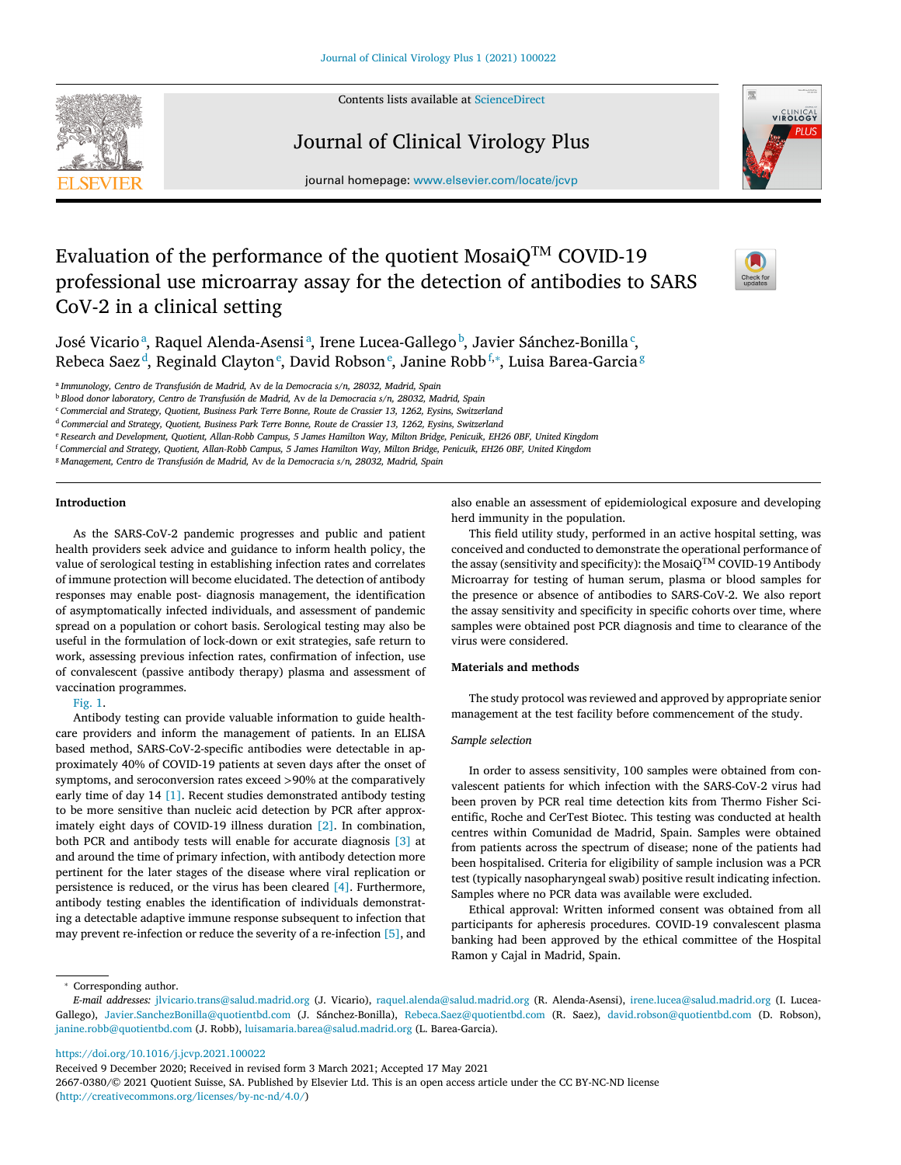Contents lists available at [ScienceDirect](http://www.ScienceDirect.com)







journal homepage: [www.elsevier.com/locate/jcvp](http://www.elsevier.com/locate/jcvp)

# Evaluation of the performance of the quotient Mosai $Q^{TM}$  COVID-19 professional use microarray assay for the detection of antibodies to SARS CoV-2 in a clinical setting

José Vicarioª, Raquel Alenda-Asensiª, Irene Lucea-Gallegoʰ, Javier Sánchez-Bonilla<sup>c</sup>, Rebeca Saez<sup>d</sup>, Reginald Clayton<sup>e</sup>, David Robson<sup>e</sup>, Janine Robb<sup>f,</sup>\*, Luisa Barea-Garcia<sup>g</sup>

<sup>a</sup> *Immunology, Centro de Transfusión de Madrid,* Av *de la Democracia s/n, 28032, Madrid, Spain*

<sup>b</sup> *Blood donor laboratory, Centro de Transfusión de Madrid,* Av *de la Democracia s/n, 28032, Madrid, Spain*

<sup>c</sup> *Commercial and Strategy, Quotient, Business Park Terre Bonne, Route de Crassier 13, 1262, Eysins, Switzerland*

<sup>d</sup> *Commercial and Strategy, Quotient, Business Park Terre Bonne, Route de Crassier 13, 1262, Eysins, Switzerland*

e Research and Development, Quotient, Allan-Robb Campus, 5 James Hamilton Way, Milton Bridge, Penicuik, EH26 OBF, United Kingdom

<sup>f</sup> Commercial and Strategy, Quotient, Allan-Robb Campus, 5 James Hamilton Way, Milton Bridge, Penicuik, EH26 OBF, United Kingdom

<sup>g</sup> *Management, Centro de Transfusión de Madrid,* Av *de la Democracia s/n, 28032, Madrid, Spain*

# **Introduction**

As the SARS-CoV-2 pandemic progresses and public and patient health providers seek advice and guidance to inform health policy, the value of serological testing in establishing infection rates and correlates of immune protection will become elucidated. The detection of antibody responses may enable post- diagnosis management, the identification of asymptomatically infected individuals, and assessment of pandemic spread on a population or cohort basis. Serological testing may also be useful in the formulation of lock-down or exit strategies, safe return to work, assessing previous infection rates, confirmation of infection, use of convalescent (passive antibody therapy) plasma and assessment of vaccination programmes.

# [Fig.](#page-1-0) 1.

Antibody testing can provide valuable information to guide healthcare providers and inform the management of patients. In an ELISA based method, SARS-CoV-2-specific antibodies were detectable in approximately 40% of COVID-19 patients at seven days after the onset of symptoms, and seroconversion rates exceed *>*90% at the comparatively early time of day 14 [\[1\].](#page-3-0) Recent studies demonstrated antibody testing to be more sensitive than nucleic acid detection by PCR after approximately eight days of COVID-19 illness duration [\[2\].](#page-3-0) In combination, both PCR and antibody tests will enable for accurate diagnosis [\[3\]](#page-3-0) at and around the time of primary infection, with antibody detection more pertinent for the later stages of the disease where viral replication or persistence is reduced, or the virus has been cleared [\[4\].](#page-3-0) Furthermore, antibody testing enables the identification of individuals demonstrating a detectable adaptive immune response subsequent to infection that may prevent re-infection or reduce the severity of a re-infection [\[5\],](#page-3-0) and

also enable an assessment of epidemiological exposure and developing herd immunity in the population.

This field utility study, performed in an active hospital setting, was conceived and conducted to demonstrate the operational performance of the assay (sensitivity and specificity): the MosaiQTM COVID-19 Antibody Microarray for testing of human serum, plasma or blood samples for the presence or absence of antibodies to SARS-CoV-2. We also report the assay sensitivity and specificity in specific cohorts over time, where samples were obtained post PCR diagnosis and time to clearance of the virus were considered.

# **Materials and methods**

The study protocol was reviewed and approved by appropriate senior management at the test facility before commencement of the study.

#### *Sample selection*

In order to assess sensitivity, 100 samples were obtained from convalescent patients for which infection with the SARS-CoV-2 virus had been proven by PCR real time detection kits from Thermo Fisher Scientific, Roche and CerTest Biotec. This testing was conducted at health centres within Comunidad de Madrid, Spain. Samples were obtained from patients across the spectrum of disease; none of the patients had been hospitalised. Criteria for eligibility of sample inclusion was a PCR test (typically nasopharyngeal swab) positive result indicating infection. Samples where no PCR data was available were excluded.

Ethical approval: Written informed consent was obtained from all participants for apheresis procedures. COVID-19 convalescent plasma banking had been approved by the ethical committee of the Hospital Ramon y Cajal in Madrid, Spain.

Corresponding author.

<https://doi.org/10.1016/j.jcvp.2021.100022>

*E-mail addresses:* [jlvicario.trans@salud.madrid.org](mailto:jlvicario.trans@salud.madrid.org) (J. Vicario), [raquel.alenda@salud.madrid.org](mailto:raquel.alenda@salud.madrid.org) (R. Alenda-Asensi), [irene.lucea@salud.madrid.org](mailto:irene.lucea@salud.madrid.org) (I. Lucea-Gallego), [Javier.SanchezBonilla@quotientbd.com](mailto:Javier.SanchezBonilla@quotientbd.com) (J. Sánchez-Bonilla), [Rebeca.Saez@quotientbd.com](mailto:Rebeca.Saez@quotientbd.com) (R. Saez), [david.robson@quotientbd.com](mailto:david.robson@quotientbd.com) (D. Robson), [janine.robb@quotientbd.com](mailto:janine.robb@quotientbd.com) (J. Robb), [luisamaria.barea@salud.madrid.org](mailto:luisamaria.barea@salud.madrid.org) (L. Barea-Garcia).

Received 9 December 2020; Received in revised form 3 March 2021; Accepted 17 May 2021

<sup>2667-0380/© 2021</sup> Quotient Suisse, SA. Published by Elsevier Ltd. This is an open access article under the CC BY-NC-ND license [\(http://creativecommons.org/licenses/by-nc-nd/4.0/\)](http://creativecommons.org/licenses/by-nc-nd/4.0/)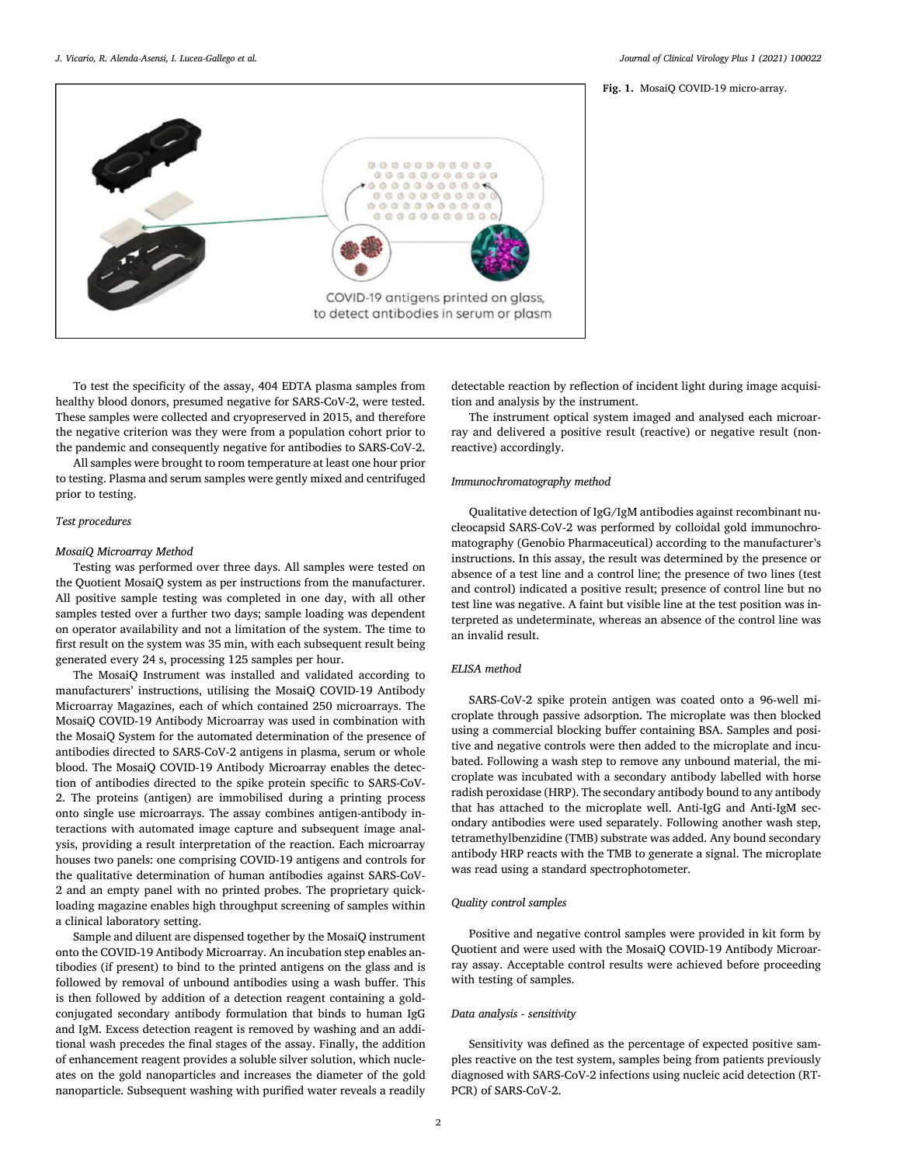#### **Fig. 1.** MosaiQ COVID-19 micro-array.

<span id="page-1-0"></span>

To test the specificity of the assay, 404 EDTA plasma samples from healthy blood donors, presumed negative for SARS-CoV-2, were tested. These samples were collected and cryopreserved in 2015, and therefore the negative criterion was they were from a population cohort prior to the pandemic and consequently negative for antibodies to SARS-CoV-2.

All samples were brought to room temperature at least one hour prior to testing. Plasma and serum samples were gently mixed and centrifuged prior to testing.

#### *Test procedures*

#### *MosaiQ Microarray Method*

Testing was performed over three days. All samples were tested on the Quotient MosaiQ system as per instructions from the manufacturer. All positive sample testing was completed in one day, with all other samples tested over a further two days; sample loading was dependent on operator availability and not a limitation of the system. The time to first result on the system was 35 min, with each subsequent result being generated every 24 s, processing 125 samples per hour.

The MosaiQ Instrument was installed and validated according to manufacturers' instructions, utilising the MosaiQ COVID-19 Antibody Microarray Magazines, each of which contained 250 microarrays. The MosaiQ COVID-19 Antibody Microarray was used in combination with the MosaiQ System for the automated determination of the presence of antibodies directed to SARS-CoV-2 antigens in plasma, serum or whole blood. The MosaiQ COVID-19 Antibody Microarray enables the detection of antibodies directed to the spike protein specific to SARS-CoV-2. The proteins (antigen) are immobilised during a printing process onto single use microarrays. The assay combines antigen-antibody interactions with automated image capture and subsequent image analysis, providing a result interpretation of the reaction. Each microarray houses two panels: one comprising COVID-19 antigens and controls for the qualitative determination of human antibodies against SARS-CoV-2 and an empty panel with no printed probes. The proprietary quickloading magazine enables high throughput screening of samples within a clinical laboratory setting.

Sample and diluent are dispensed together by the MosaiQ instrument onto the COVID-19 Antibody Microarray. An incubation step enables antibodies (if present) to bind to the printed antigens on the glass and is followed by removal of unbound antibodies using a wash buffer. This is then followed by addition of a detection reagent containing a goldconjugated secondary antibody formulation that binds to human IgG and IgM. Excess detection reagent is removed by washing and an additional wash precedes the final stages of the assay. Finally, the addition of enhancement reagent provides a soluble silver solution, which nucleates on the gold nanoparticles and increases the diameter of the gold nanoparticle. Subsequent washing with purified water reveals a readily detectable reaction by reflection of incident light during image acquisition and analysis by the instrument.

The instrument optical system imaged and analysed each microarray and delivered a positive result (reactive) or negative result (nonreactive) accordingly.

#### *Immunochromatography method*

Qualitative detection of IgG/IgM antibodies against recombinant nucleocapsid SARS-CoV-2 was performed by colloidal gold immunochromatography (Genobio Pharmaceutical) according to the manufacturer's instructions. In this assay, the result was determined by the presence or absence of a test line and a control line; the presence of two lines (test and control) indicated a positive result; presence of control line but no test line was negative. A faint but visible line at the test position was interpreted as undeterminate, whereas an absence of the control line was an invalid result.

# *ELISA method*

SARS-CoV-2 spike protein antigen was coated onto a 96-well microplate through passive adsorption. The microplate was then blocked using a commercial blocking buffer containing BSA. Samples and positive and negative controls were then added to the microplate and incubated. Following a wash step to remove any unbound material, the microplate was incubated with a secondary antibody labelled with horse radish peroxidase (HRP). The secondary antibody bound to any antibody that has attached to the microplate well. Anti-IgG and Anti-IgM secondary antibodies were used separately. Following another wash step, tetramethylbenzidine (TMB) substrate was added. Any bound secondary antibody HRP reacts with the TMB to generate a signal. The microplate was read using a standard spectrophotometer.

#### *Quality control samples*

Positive and negative control samples were provided in kit form by Quotient and were used with the MosaiQ COVID-19 Antibody Microarray assay. Acceptable control results were achieved before proceeding with testing of samples.

# *Data analysis - sensitivity*

Sensitivity was defined as the percentage of expected positive samples reactive on the test system, samples being from patients previously diagnosed with SARS-CoV-2 infections using nucleic acid detection (RT-PCR) of SARS-CoV-2.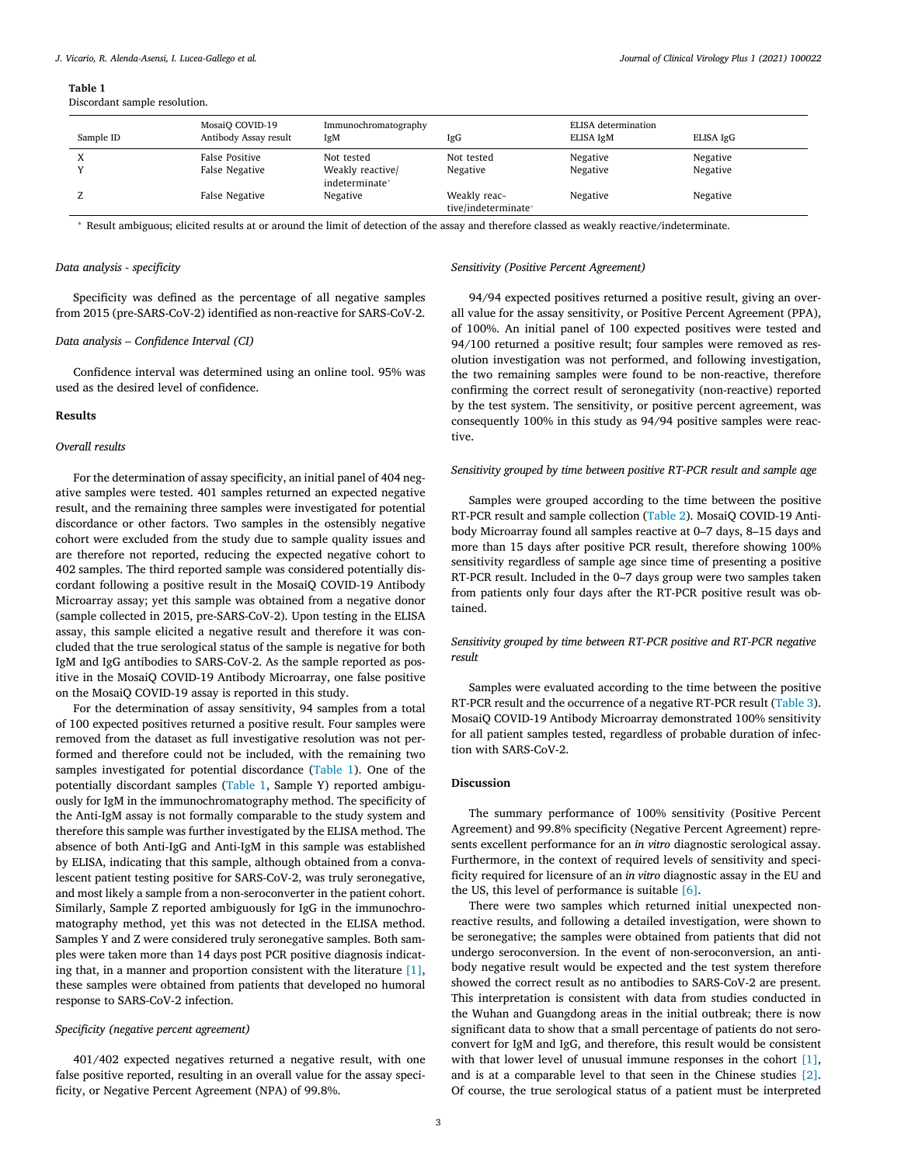#### **Table 1**

Discordant sample resolution.

| Sample ID | MosaiO COVID-19<br>Antibody Assay result | Immunochromatography<br>IgM                      | IgG                                 | <b>ELISA</b> determination<br>ELISA IgM | ELISA IgG            |
|-----------|------------------------------------------|--------------------------------------------------|-------------------------------------|-----------------------------------------|----------------------|
| $\Lambda$ | False Positive<br>False Negative         | Not tested<br>Weakly reactive/<br>indeterminate* | Not tested<br>Negative              | Negative<br>Negative                    | Negative<br>Negative |
|           | False Negative                           | Negative                                         | Weakly reac-<br>tive/indeterminate* | Negative                                | Negative             |

<sup>∗</sup> Result ambiguous; elicited results at or around the limit of detection of the assay and therefore classed as weakly reactive/indeterminate.

### *Data analysis - specificity*

Specificity was defined as the percentage of all negative samples from 2015 (pre-SARS-CoV-2) identified as non-reactive for SARS-CoV-2.

### *Data analysis – Confidence Interval (CI)*

Confidence interval was determined using an online tool. 95% was used as the desired level of confidence.

## **Results**

#### *Overall results*

For the determination of assay specificity, an initial panel of 404 negative samples were tested. 401 samples returned an expected negative result, and the remaining three samples were investigated for potential discordance or other factors. Two samples in the ostensibly negative cohort were excluded from the study due to sample quality issues and are therefore not reported, reducing the expected negative cohort to 402 samples. The third reported sample was considered potentially discordant following a positive result in the MosaiQ COVID-19 Antibody Microarray assay; yet this sample was obtained from a negative donor (sample collected in 2015, pre-SARS-CoV-2). Upon testing in the ELISA assay, this sample elicited a negative result and therefore it was concluded that the true serological status of the sample is negative for both IgM and IgG antibodies to SARS-CoV-2. As the sample reported as positive in the MosaiQ COVID-19 Antibody Microarray, one false positive on the MosaiQ COVID-19 assay is reported in this study.

For the determination of assay sensitivity, 94 samples from a total of 100 expected positives returned a positive result. Four samples were removed from the dataset as full investigative resolution was not performed and therefore could not be included, with the remaining two samples investigated for potential discordance (Table 1). One of the potentially discordant samples (Table 1, Sample Y) reported ambiguously for IgM in the immunochromatography method. The specificity of the Anti-IgM assay is not formally comparable to the study system and therefore this sample was further investigated by the ELISA method. The absence of both Anti-IgG and Anti-IgM in this sample was established by ELISA, indicating that this sample, although obtained from a convalescent patient testing positive for SARS-CoV-2, was truly seronegative, and most likely a sample from a non-seroconverter in the patient cohort. Similarly, Sample Z reported ambiguously for IgG in the immunochromatography method, yet this was not detected in the ELISA method. Samples Y and Z were considered truly seronegative samples. Both samples were taken more than 14 days post PCR positive diagnosis indicating that, in a manner and proportion consistent with the literature [\[1\],](#page-3-0) these samples were obtained from patients that developed no humoral response to SARS-CoV-2 infection.

#### *Specificity (negative percent agreement)*

401/402 expected negatives returned a negative result, with one false positive reported, resulting in an overall value for the assay specificity, or Negative Percent Agreement (NPA) of 99.8%.

# *Sensitivity (Positive Percent Agreement)*

94/94 expected positives returned a positive result, giving an overall value for the assay sensitivity, or Positive Percent Agreement (PPA), of 100%. An initial panel of 100 expected positives were tested and 94/100 returned a positive result; four samples were removed as resolution investigation was not performed, and following investigation, the two remaining samples were found to be non-reactive, therefore confirming the correct result of seronegativity (non-reactive) reported by the test system. The sensitivity, or positive percent agreement, was consequently 100% in this study as 94/94 positive samples were reactive.

#### *Sensitivity grouped by time between positive RT-PCR result and sample age*

Samples were grouped according to the time between the positive RT-PCR result and sample collection [\(Table](#page-3-0) 2). MosaiQ COVID-19 Antibody Microarray found all samples reactive at 0–7 days, 8–15 days and more than 15 days after positive PCR result, therefore showing 100% sensitivity regardless of sample age since time of presenting a positive RT-PCR result. Included in the 0–7 days group were two samples taken from patients only four days after the RT-PCR positive result was obtained.

*Sensitivity grouped by time between RT-PCR positive and RT-PCR negative result*

Samples were evaluated according to the time between the positive RT-PCR result and the occurrence of a negative RT-PCR result [\(Table](#page-3-0) 3). MosaiQ COVID-19 Antibody Microarray demonstrated 100% sensitivity for all patient samples tested, regardless of probable duration of infection with SARS-CoV-2.

#### **Discussion**

The summary performance of 100% sensitivity (Positive Percent Agreement) and 99.8% specificity (Negative Percent Agreement) represents excellent performance for an *in vitro* diagnostic serological assay. Furthermore, in the context of required levels of sensitivity and specificity required for licensure of an *in vitro* diagnostic assay in the EU and the US, this level of performance is suitable [\[6\].](#page-3-0)

There were two samples which returned initial unexpected nonreactive results, and following a detailed investigation, were shown to be seronegative; the samples were obtained from patients that did not undergo seroconversion. In the event of non-seroconversion, an antibody negative result would be expected and the test system therefore showed the correct result as no antibodies to SARS-CoV-2 are present. This interpretation is consistent with data from studies conducted in the Wuhan and Guangdong areas in the initial outbreak; there is now significant data to show that a small percentage of patients do not seroconvert for IgM and IgG, and therefore, this result would be consistent with that lower level of unusual immune responses in the cohort [\[1\],](#page-3-0) and is at a comparable level to that seen in the Chinese studies [\[2\].](#page-3-0) Of course, the true serological status of a patient must be interpreted